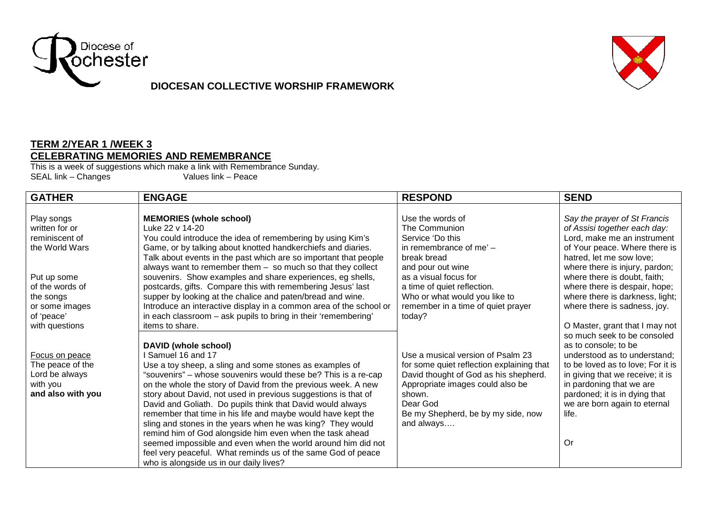

## **DIOCESAN COLLECTIVE WORSHIP FRAMEWORK**



## **TERM 2/YEAR 1 /WEEK 3 CELEBRATING MEMORIES AND REMEMBRANCE**

This is a week of suggestions which make a link with Remembrance Sunday. SEAL link – Changes Values link – Peace

| <b>GATHER</b>     | <b>ENGAGE</b>                                                      | <b>RESPOND</b>                            | <b>SEND</b>                       |
|-------------------|--------------------------------------------------------------------|-------------------------------------------|-----------------------------------|
|                   |                                                                    |                                           |                                   |
| Play songs        | <b>MEMORIES (whole school)</b>                                     | Use the words of                          | Say the prayer of St Francis      |
| written for or    | Luke 22 v 14-20                                                    | The Communion                             | of Assisi together each day:      |
| reminiscent of    | You could introduce the idea of remembering by using Kim's         | Service 'Do this                          | Lord, make me an instrument       |
| the World Wars    | Game, or by talking about knotted handkerchiefs and diaries.       | in remembrance of me' -                   | of Your peace. Where there is     |
|                   | Talk about events in the past which are so important that people   | break bread                               | hatred, let me sow love;          |
|                   | always want to remember them $-$ so much so that they collect      | and pour out wine                         | where there is injury, pardon;    |
| Put up some       | souvenirs. Show examples and share experiences, eg shells,         | as a visual focus for                     | where there is doubt, faith;      |
| of the words of   | postcards, gifts. Compare this with remembering Jesus' last        | a time of quiet reflection.               | where there is despair, hope;     |
| the songs         | supper by looking at the chalice and paten/bread and wine.         | Who or what would you like to             | where there is darkness, light;   |
| or some images    | Introduce an interactive display in a common area of the school or | remember in a time of quiet prayer        | where there is sadness, joy.      |
| of 'peace'        | in each classroom - ask pupils to bring in their 'remembering'     | today?                                    |                                   |
| with questions    | items to share.                                                    |                                           | O Master, grant that I may not    |
|                   |                                                                    |                                           | so much seek to be consoled       |
|                   | DAVID (whole school)                                               |                                           | as to console; to be              |
| Focus on peace    | Samuel 16 and 17                                                   | Use a musical version of Psalm 23         | understood as to understand;      |
| The peace of the  | Use a toy sheep, a sling and some stones as examples of            | for some quiet reflection explaining that | to be loved as to love; For it is |
| Lord be always    | "souvenirs" - whose souvenirs would these be? This is a re-cap     | David thought of God as his shepherd.     | in giving that we receive; it is  |
| with you          | on the whole the story of David from the previous week. A new      | Appropriate images could also be          | in pardoning that we are          |
| and also with you | story about David, not used in previous suggestions is that of     | shown.                                    | pardoned; it is in dying that     |
|                   | David and Goliath. Do pupils think that David would always         | Dear God                                  | we are born again to eternal      |
|                   | remember that time in his life and maybe would have kept the       | Be my Shepherd, be by my side, now        | life.                             |
|                   | sling and stones in the years when he was king? They would         | and always                                |                                   |
|                   | remind him of God alongside him even when the task ahead           |                                           |                                   |
|                   | seemed impossible and even when the world around him did not       |                                           | Or                                |
|                   | feel very peaceful. What reminds us of the same God of peace       |                                           |                                   |
|                   | who is alongside us in our daily lives?                            |                                           |                                   |